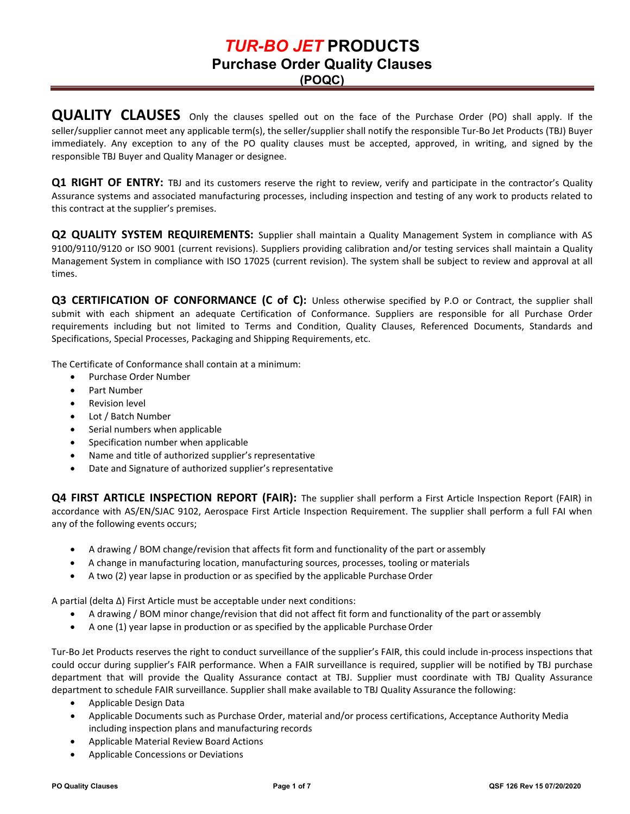**(POQC)**

**QUALITY CLAUSES** Only the clauses spelled out on the face of the Purchase Order (PO) shall apply. If the seller/supplier cannot meet any applicable term(s), the seller/supplier shall notify the responsible Tur-Bo Jet Products (TBJ) Buyer immediately. Any exception to any of the PO quality clauses must be accepted, approved, in writing, and signed by the responsible TBJ Buyer and Quality Manager or designee.

**Q1 RIGHT OF ENTRY:** TBJ and its customers reserve the right to review, verify and participate in the contractor's Quality Assurance systems and associated manufacturing processes, including inspection and testing of any work to products related to this contract at the supplier's premises.

**Q2 QUALITY SYSTEM REQUIREMENTS:** Supplier shall maintain a Quality Management System in compliance with AS 9100/9110/9120 or ISO 9001 (current revisions). Suppliers providing calibration and/or testing services shall maintain a Quality Management System in compliance with ISO 17025 (current revision). The system shall be subject to review and approval at all times.

**Q3 CERTIFICATION OF CONFORMANCE (C of C):** Unless otherwise specified by P.O or Contract, the supplier shall submit with each shipment an adequate Certification of Conformance. Suppliers are responsible for all Purchase Order requirements including but not limited to Terms and Condition, Quality Clauses, Referenced Documents, Standards and Specifications, Special Processes, Packaging and Shipping Requirements, etc.

The Certificate of Conformance shall contain at a minimum:

- Purchase Order Number
- Part Number
- Revision level
- Lot / Batch Number
- Serial numbers when applicable
- Specification number when applicable
- Name and title of authorized supplier's representative
- Date and Signature of authorized supplier's representative

**Q4 FIRST ARTICLE INSPECTION REPORT (FAIR):** The supplier shall perform a First Article Inspection Report (FAIR) in accordance with AS/EN/SJAC 9102, Aerospace First Article Inspection Requirement. The supplier shall perform a full FAI when any of the following events occurs;

- A drawing / BOM change/revision that affects fit form and functionality of the part or assembly
- A change in manufacturing location, manufacturing sources, processes, tooling or materials
- A two (2) year lapse in production or as specified by the applicable Purchase Order

A partial (delta ∆) First Article must be acceptable under next conditions:

- A drawing / BOM minor change/revision that did not affect fit form and functionality of the part or assembly
- A one (1) year lapse in production or as specified by the applicable Purchase Order

Tur-Bo Jet Products reserves the right to conduct surveillance of the supplier's FAIR, this could include in-process inspections that could occur during supplier's FAIR performance. When a FAIR surveillance is required, supplier will be notified by TBJ purchase department that will provide the Quality Assurance contact at TBJ. Supplier must coordinate with TBJ Quality Assurance department to schedule FAIR surveillance. Supplier shall make available to TBJ Quality Assurance the following:

- Applicable Design Data
- Applicable Documents such as Purchase Order, material and/or process certifications, Acceptance Authority Media including inspection plans and manufacturing records
- Applicable Material Review Board Actions
- Applicable Concessions or Deviations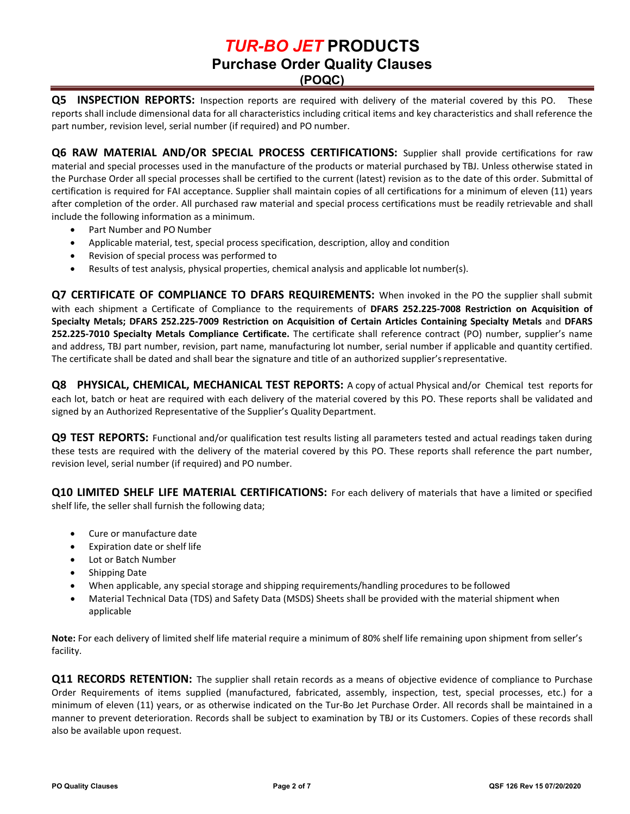**Q5 INSPECTION REPORTS:** Inspection reports are required with delivery of the material covered by this PO. These reports shall include dimensional data for all characteristics including critical items and key characteristics and shall reference the part number, revision level, serial number (if required) and PO number.

**Q6 RAW MATERIAL AND/OR SPECIAL PROCESS CERTIFICATIONS:** Supplier shall provide certifications for raw material and special processes used in the manufacture of the products or material purchased by TBJ. Unless otherwise stated in the Purchase Order all special processes shall be certified to the current (latest) revision as to the date of this order. Submittal of certification is required for FAI acceptance. Supplier shall maintain copies of all certifications for a minimum of eleven (11) years after completion of the order. All purchased raw material and special process certifications must be readily retrievable and shall include the following information as a minimum.

- Part Number and PO Number
- Applicable material, test, special process specification, description, alloy and condition
- Revision of special process was performed to
- Results of test analysis, physical properties, chemical analysis and applicable lot number(s).

**Q7 CERTIFICATE OF COMPLIANCE TO DFARS REQUIREMENTS:** When invoked in the PO the supplier shall submit with each shipment a Certificate of Compliance to the requirements of **DFARS 252.225-7008 Restriction on Acquisition of Specialty Metals; DFARS 252.225-7009 Restriction on Acquisition of Certain Articles Containing Specialty Metals** and **DFARS 252.225-7010 Specialty Metals Compliance Certificate.** The certificate shall reference contract (PO) number, supplier's name and address, TBJ part number, revision, part name, manufacturing lot number, serial number if applicable and quantity certified. The certificate shall be dated and shall bear the signature and title of an authorized supplier'srepresentative.

**Q8 PHYSICAL, CHEMICAL, MECHANICAL TEST REPORTS:** A copy of actual Physical and/or Chemical test reports for each lot, batch or heat are required with each delivery of the material covered by this PO. These reports shall be validated and signed by an Authorized Representative of the Supplier's Quality Department.

**Q9 TEST REPORTS:** Functional and/or qualification test results listing all parameters tested and actual readings taken during these tests are required with the delivery of the material covered by this PO. These reports shall reference the part number, revision level, serial number (if required) and PO number.

**Q10 LIMITED SHELF LIFE MATERIAL CERTIFICATIONS:** For each delivery of materials that have a limited or specified shelf life, the seller shall furnish the following data;

- Cure or manufacture date
- Expiration date or shelf life
- Lot or Batch Number
- Shipping Date
- When applicable, any special storage and shipping requirements/handling procedures to be followed
- Material Technical Data (TDS) and Safety Data (MSDS) Sheets shall be provided with the material shipment when applicable

**Note:** For each delivery of limited shelf life material require a minimum of 80% shelf life remaining upon shipment from seller's facility.

**Q11 RECORDS RETENTION:** The supplier shall retain records as a means of objective evidence of compliance to Purchase Order Requirements of items supplied (manufactured, fabricated, assembly, inspection, test, special processes, etc.) for a minimum of eleven (11) years, or as otherwise indicated on the Tur-Bo Jet Purchase Order. All records shall be maintained in a manner to prevent deterioration. Records shall be subject to examination by TBJ or its Customers. Copies of these records shall also be available upon request.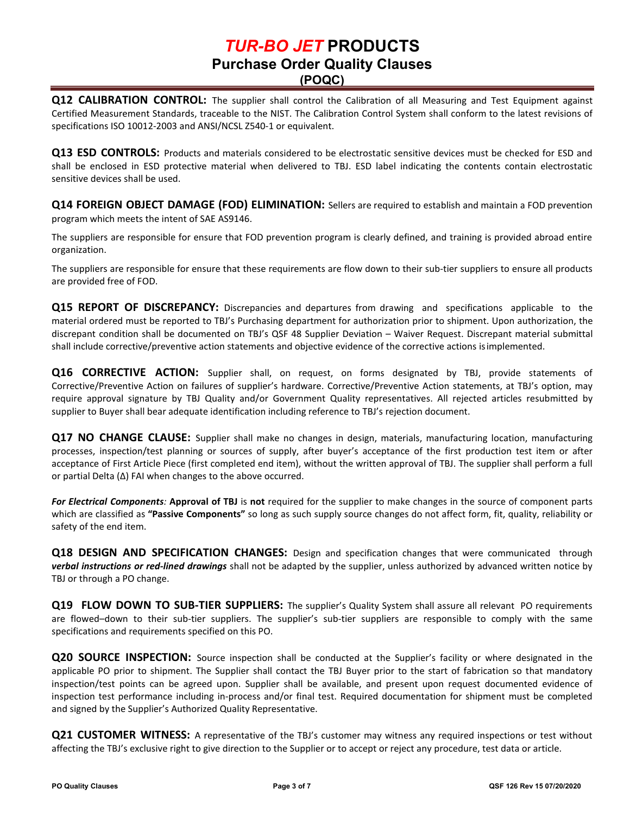**(POQC)**

**Q12 CALIBRATION CONTROL:** The supplier shall control the Calibration of all Measuring and Test Equipment against Certified Measurement Standards, traceable to the NIST. The Calibration Control System shall conform to the latest revisions of specifications ISO 10012-2003 and ANSI/NCSL Z540-1 or equivalent.

**Q13 ESD CONTROLS:** Products and materials considered to be electrostatic sensitive devices must be checked for ESD and shall be enclosed in ESD protective material when delivered to TBJ. ESD label indicating the contents contain electrostatic sensitive devices shall be used.

**Q14 FOREIGN OBJECT DAMAGE (FOD) ELIMINATION:** Sellers are required to establish and maintain a FOD prevention program which meets the intent of SAE AS9146.

The suppliers are responsible for ensure that FOD prevention program is clearly defined, and training is provided abroad entire organization.

The suppliers are responsible for ensure that these requirements are flow down to their sub-tier suppliers to ensure all products are provided free of FOD.

**Q15 REPORT OF DISCREPANCY:** Discrepancies and departures from drawing and specifications applicable to the material ordered must be reported to TBJ's Purchasing department for authorization prior to shipment. Upon authorization, the discrepant condition shall be documented on TBJ's QSF 48 Supplier Deviation – Waiver Request. Discrepant material submittal shall include corrective/preventive action statements and objective evidence of the corrective actions isimplemented.

**Q16 CORRECTIVE ACTION:** Supplier shall, on request, on forms designated by TBJ, provide statements of Corrective/Preventive Action on failures of supplier's hardware. Corrective/Preventive Action statements, at TBJ's option, may require approval signature by TBJ Quality and/or Government Quality representatives. All rejected articles resubmitted by supplier to Buyer shall bear adequate identification including reference to TBJ's rejection document.

**Q17 NO CHANGE CLAUSE:** Supplier shall make no changes in design, materials, manufacturing location, manufacturing processes, inspection/test planning or sources of supply, after buyer's acceptance of the first production test item or after acceptance of First Article Piece (first completed end item), without the written approval of TBJ. The supplier shall perform a full or partial Delta (Δ) FAI when changes to the above occurred.

*For Electrical Components:* **Approval of TBJ** is **not** required for the supplier to make changes in the source of component parts which are classified as **"Passive Components"** so long as such supply source changes do not affect form, fit, quality, reliability or safety of the end item.

**Q18 DESIGN AND SPECIFICATION CHANGES:** Design and specification changes that were communicated through *verbal instructions or red-lined drawings* shall not be adapted by the supplier, unless authorized by advanced written notice by TBJ or through a PO change.

**Q19 FLOW DOWN TO SUB-TIER SUPPLIERS:** The supplier's Quality System shall assure all relevant PO requirements are flowed–down to their sub-tier suppliers. The supplier's sub-tier suppliers are responsible to comply with the same specifications and requirements specified on this PO.

**Q20 SOURCE INSPECTION:** Source inspection shall be conducted at the Supplier's facility or where designated in the applicable PO prior to shipment. The Supplier shall contact the TBJ Buyer prior to the start of fabrication so that mandatory inspection/test points can be agreed upon. Supplier shall be available, and present upon request documented evidence of inspection test performance including in-process and/or final test. Required documentation for shipment must be completed and signed by the Supplier's Authorized Quality Representative.

**Q21 CUSTOMER WITNESS:** A representative of the TBJ's customer may witness any required inspections or test without affecting the TBJ's exclusive right to give direction to the Supplier or to accept or reject any procedure, test data or article.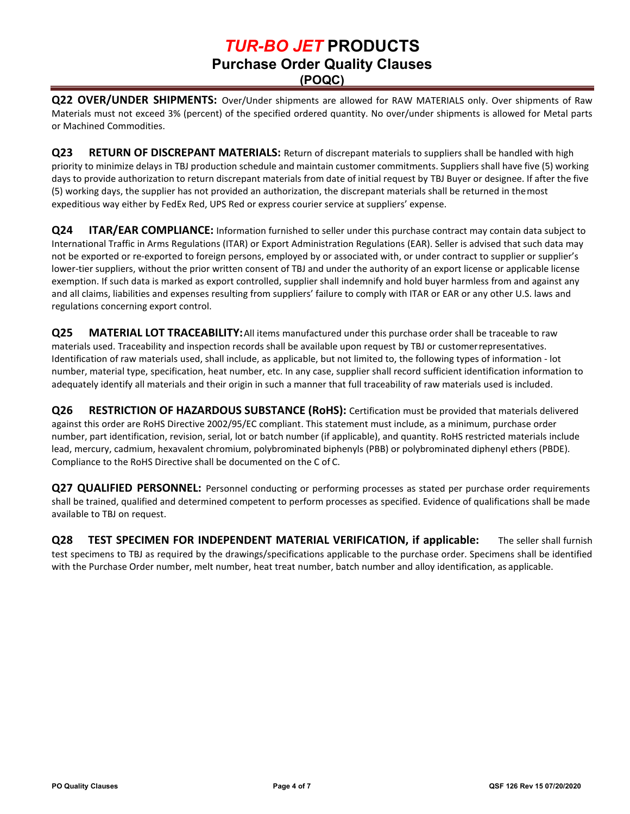**Q22 OVER/UNDER SHIPMENTS:** Over/Under shipments are allowed for RAW MATERIALS only. Over shipments of Raw Materials must not exceed 3% (percent) of the specified ordered quantity. No over/under shipments is allowed for Metal parts or Machined Commodities.

**Q23 RETURN OF DISCREPANT MATERIALS:** Return of discrepant materials to suppliers shall be handled with high priority to minimize delays in TBJ production schedule and maintain customer commitments. Suppliers shall have five (5) working days to provide authorization to return discrepant materials from date of initial request by TBJ Buyer or designee. If after the five (5) working days, the supplier has not provided an authorization, the discrepant materials shall be returned in themost expeditious way either by FedEx Red, UPS Red or express courier service at suppliers' expense.

**Q24 ITAR/EAR COMPLIANCE:** Information furnished to seller under this purchase contract may contain data subject to International Traffic in Arms Regulations (ITAR) or Export Administration Regulations (EAR). Seller is advised that such data may not be exported or re-exported to foreign persons, employed by or associated with, or under contract to supplier or supplier's lower-tier suppliers, without the prior written consent of TBJ and under the authority of an export license or applicable license exemption. If such data is marked as export controlled, supplier shall indemnify and hold buyer harmless from and against any and all claims, liabilities and expenses resulting from suppliers' failure to comply with ITAR or EAR or any other U.S. laws and regulations concerning export control.

**Q25 MATERIAL LOT TRACEABILITY:**All items manufactured under this purchase order shall be traceable to raw materials used. Traceability and inspection records shall be available upon request by TBJ or customerrepresentatives. Identification of raw materials used, shall include, as applicable, but not limited to, the following types of information - lot number, material type, specification, heat number, etc. In any case, supplier shall record sufficient identification information to adequately identify all materials and their origin in such a manner that full traceability of raw materials used is included.

**Q26 RESTRICTION OF HAZARDOUS SUBSTANCE (RoHS):** Certification must be provided that materials delivered against this order are RoHS Directive 2002/95/EC compliant. This statement must include, as a minimum, purchase order number, part identification, revision, serial, lot or batch number (if applicable), and quantity. RoHS restricted materials include lead, mercury, cadmium, hexavalent chromium, polybrominated biphenyls (PBB) or polybrominated diphenyl ethers (PBDE). Compliance to the RoHS Directive shall be documented on the C of C.

**Q27 QUALIFIED PERSONNEL:** Personnel conducting or performing processes as stated per purchase order requirements shall be trained, qualified and determined competent to perform processes as specified. Evidence of qualifications shall be made available to TBJ on request.

**Q28 TEST SPECIMEN FOR INDEPENDENT MATERIAL VERIFICATION, if applicable:** The seller shall furnish test specimens to TBJ as required by the drawings/specifications applicable to the purchase order. Specimens shall be identified with the Purchase Order number, melt number, heat treat number, batch number and alloy identification, as applicable.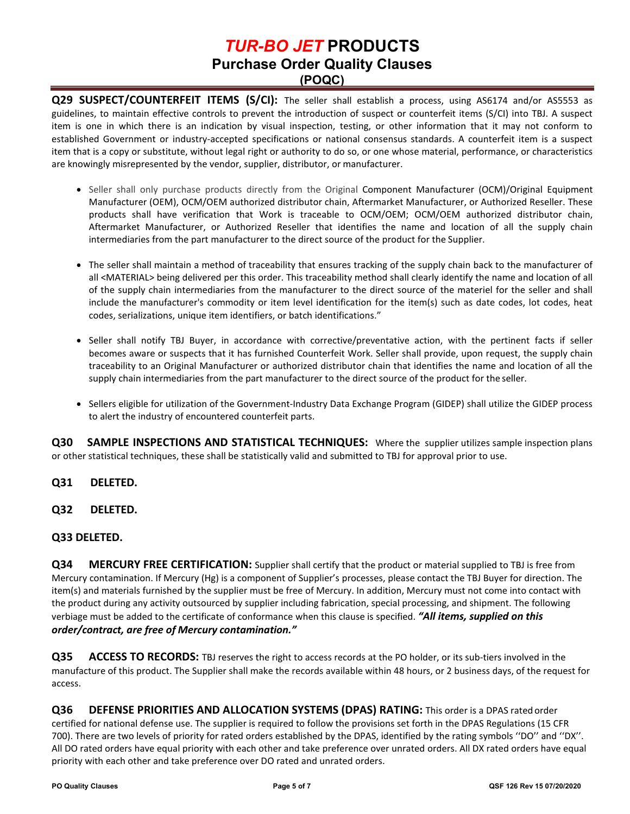**Q29 SUSPECT/COUNTERFEIT ITEMS (S/CI):** The seller shall establish a process, using AS6174 and/or AS5553 as guidelines, to maintain effective controls to prevent the introduction of suspect or counterfeit items (S/CI) into TBJ. A suspect item is one in which there is an indication by visual inspection, testing, or other information that it may not conform to established Government or industry-accepted specifications or national consensus standards. A counterfeit item is a suspect item that is a copy or substitute, without legal right or authority to do so, or one whose material, performance, or characteristics are knowingly misrepresented by the vendor, supplier, distributor, or manufacturer.

- Seller shall only purchase products directly from the Original Component Manufacturer (OCM)/Original Equipment Manufacturer (OEM), OCM/OEM authorized distributor chain, Aftermarket Manufacturer, or Authorized Reseller. These products shall have verification that Work is traceable to OCM/OEM; OCM/OEM authorized distributor chain, Aftermarket Manufacturer, or Authorized Reseller that identifies the name and location of all the supply chain intermediaries from the part manufacturer to the direct source of the product for the Supplier.
- The seller shall maintain a method of traceability that ensures tracking of the supply chain back to the manufacturer of all <MATERIAL> being delivered per this order. This traceability method shall clearly identify the name and location of all of the supply chain intermediaries from the manufacturer to the direct source of the materiel for the seller and shall include the manufacturer's commodity or item level identification for the item(s) such as date codes, lot codes, heat codes, serializations, unique item identifiers, or batch identifications."
- Seller shall notify TBJ Buyer, in accordance with corrective/preventative action, with the pertinent facts if seller becomes aware or suspects that it has furnished Counterfeit Work. Seller shall provide, upon request, the supply chain traceability to an Original Manufacturer or authorized distributor chain that identifies the name and location of all the supply chain intermediaries from the part manufacturer to the direct source of the product for the seller.
- Sellers eligible for utilization of the Government-Industry Data Exchange Program (GIDEP) shall utilize the GIDEP process to alert the industry of encountered counterfeit parts.

**Q30 SAMPLE INSPECTIONS AND STATISTICAL TECHNIQUES:** Where the supplier utilizes sample inspection plans or other statistical techniques, these shall be statistically valid and submitted to TBJ for approval prior to use.

- **Q31 DELETED.**
- **Q32 DELETED.**

#### **Q33 DELETED.**

**Q34 MERCURY FREE CERTIFICATION:** Supplier shall certify that the product or material supplied to TBJ is free from Mercury contamination. If Mercury (Hg) is a component of Supplier's processes, please contact the TBJ Buyer for direction. The item(s) and materials furnished by the supplier must be free of Mercury. In addition, Mercury must not come into contact with the product during any activity outsourced by supplier including fabrication, special processing, and shipment. The following verbiage must be added to the certificate of conformance when this clause is specified. *"All items, supplied on this order/contract, are free of Mercury contamination."*

**Q35 ACCESS TO RECORDS:** TBJ reserves the right to access records at the PO holder, or its sub-tiers involved in the manufacture of this product. The Supplier shall make the records available within 48 hours, or 2 business days, of the request for access.

**Q36 DEFENSE PRIORITIES AND ALLOCATION SYSTEMS (DPAS) RATING:** This order is a DPAS rated order certified for national defense use. The supplier is required to follow the provisions set forth in the DPAS Regulations (15 CFR 700). There are two levels of priority for rated orders established by the DPAS, identified by the rating symbols ''DO'' and ''DX''. All DO rated orders have equal priority with each other and take preference over unrated orders. All DX rated orders have equal priority with each other and take preference over DO rated and unrated orders.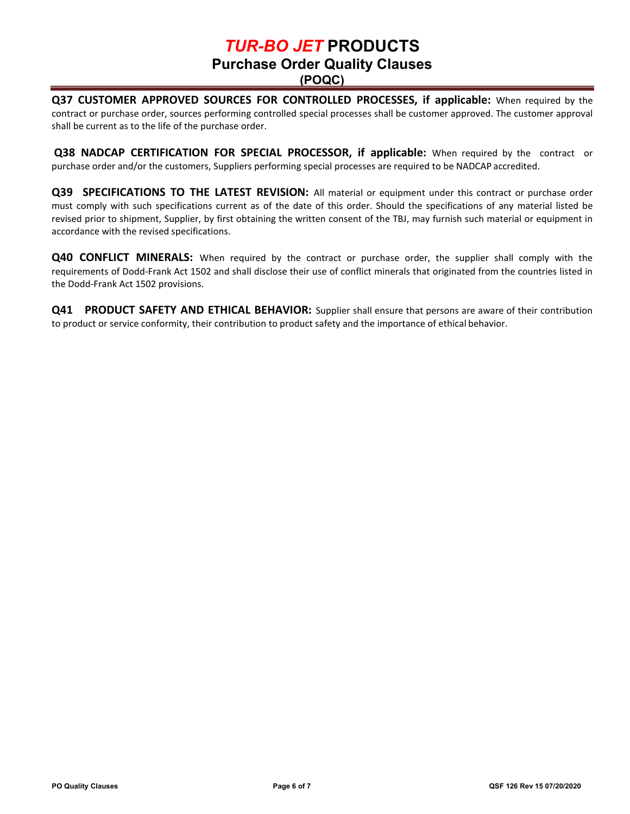**(POQC)**

**Q37 CUSTOMER APPROVED SOURCES FOR CONTROLLED PROCESSES, if applicable:** When required by the contract or purchase order, sources performing controlled special processes shall be customer approved. The customer approval shall be current as to the life of the purchase order.

**Q38 NADCAP CERTIFICATION FOR SPECIAL PROCESSOR, if applicable:** When required by the contract or purchase order and/or the customers, Suppliers performing special processes are required to be NADCAP accredited.

**Q39 SPECIFICATIONS TO THE LATEST REVISION:** All material or equipment under this contract or purchase order must comply with such specifications current as of the date of this order. Should the specifications of any material listed be revised prior to shipment, Supplier, by first obtaining the written consent of the TBJ, may furnish such material or equipment in accordance with the revised specifications.

**Q40 CONFLICT MINERALS:** When required by the contract or purchase order, the supplier shall comply with the requirements of Dodd-Frank Act 1502 and shall disclose their use of conflict minerals that originated from the countries listed in the Dodd-Frank Act 1502 provisions.

**Q41 PRODUCT SAFETY AND ETHICAL BEHAVIOR:** Supplier shall ensure that persons are aware of their contribution to product or service conformity, their contribution to product safety and the importance of ethical behavior.